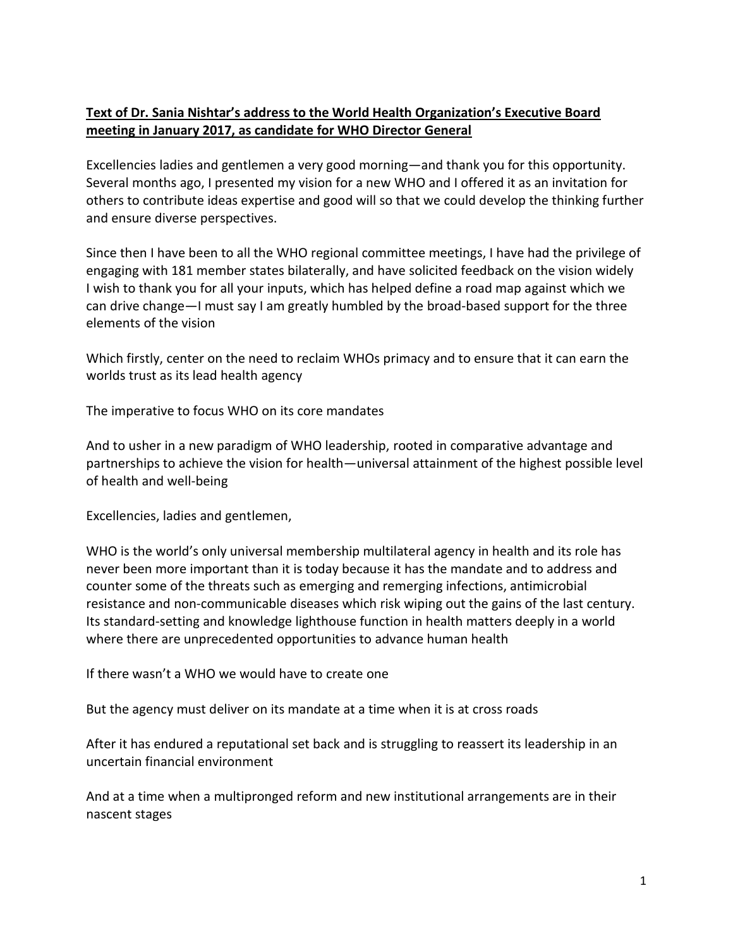## **Text of Dr. Sania Nishtar's address to the World Health Organization's Executive Board meeting in January 2017, as candidate for WHO Director General**

Excellencies ladies and gentlemen a very good morning—and thank you for this opportunity. Several months ago, I presented my vision for a new WHO and I offered it as an invitation for others to contribute ideas expertise and good will so that we could develop the thinking further and ensure diverse perspectives.

Since then I have been to all the WHO regional committee meetings, I have had the privilege of engaging with 181 member states bilaterally, and have solicited feedback on the vision widely I wish to thank you for all your inputs, which has helped define a road map against which we can drive change—I must say I am greatly humbled by the broad-based support for the three elements of the vision

Which firstly, center on the need to reclaim WHOs primacy and to ensure that it can earn the worlds trust as its lead health agency

The imperative to focus WHO on its core mandates

And to usher in a new paradigm of WHO leadership, rooted in comparative advantage and partnerships to achieve the vision for health—universal attainment of the highest possible level of health and well-being

Excellencies, ladies and gentlemen,

WHO is the world's only universal membership multilateral agency in health and its role has never been more important than it is today because it has the mandate and to address and counter some of the threats such as emerging and remerging infections, antimicrobial resistance and non-communicable diseases which risk wiping out the gains of the last century. Its standard-setting and knowledge lighthouse function in health matters deeply in a world where there are unprecedented opportunities to advance human health

If there wasn't a WHO we would have to create one

But the agency must deliver on its mandate at a time when it is at cross roads

After it has endured a reputational set back and is struggling to reassert its leadership in an uncertain financial environment

And at a time when a multipronged reform and new institutional arrangements are in their nascent stages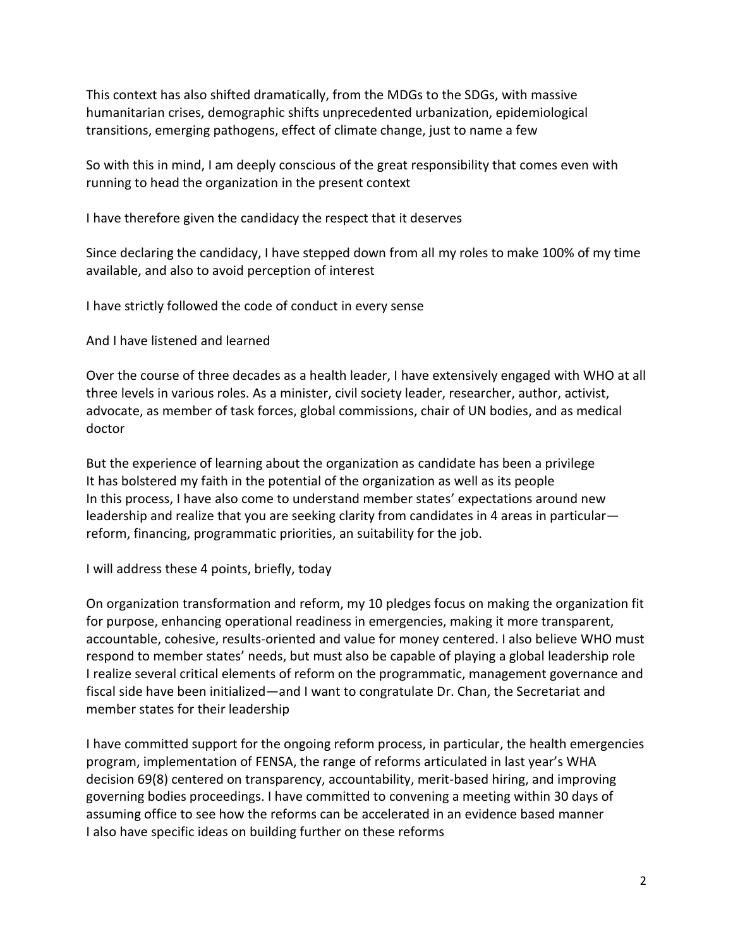This context has also shifted dramatically, from the MDGs to the SDGs, with massive humanitarian crises, demographic shifts unprecedented urbanization, epidemiological transitions, emerging pathogens, effect of climate change, just to name a few

So with this in mind, I am deeply conscious of the great responsibility that comes even with running to head the organization in the present context

I have therefore given the candidacy the respect that it deserves

Since declaring the candidacy, I have stepped down from all my roles to make 100% of my time available, and also to avoid perception of interest

I have strictly followed the code of conduct in every sense

And I have listened and learned

Over the course of three decades as a health leader, I have extensively engaged with WHO at all three levels in various roles. As a minister, civil society leader, researcher, author, activist, advocate, as member of task forces, global commissions, chair of UN bodies, and as medical doctor

But the experience of learning about the organization as candidate has been a privilege It has bolstered my faith in the potential of the organization as well as its people In this process, I have also come to understand member states' expectations around new leadership and realize that you are seeking clarity from candidates in 4 areas in particular reform, financing, programmatic priorities, an suitability for the job.

I will address these 4 points, briefly, today

On organization transformation and reform, my 10 pledges focus on making the organization fit for purpose, enhancing operational readiness in emergencies, making it more transparent, accountable, cohesive, results-oriented and value for money centered. I also believe WHO must respond to member states' needs, but must also be capable of playing a global leadership role I realize several critical elements of reform on the programmatic, management governance and fiscal side have been initialized—and I want to congratulate Dr. Chan, the Secretariat and member states for their leadership

I have committed support for the ongoing reform process, in particular, the health emergencies program, implementation of FENSA, the range of reforms articulated in last year's WHA decision 69(8) centered on transparency, accountability, merit-based hiring, and improving governing bodies proceedings. I have committed to convening a meeting within 30 days of assuming office to see how the reforms can be accelerated in an evidence based manner I also have specific ideas on building further on these reforms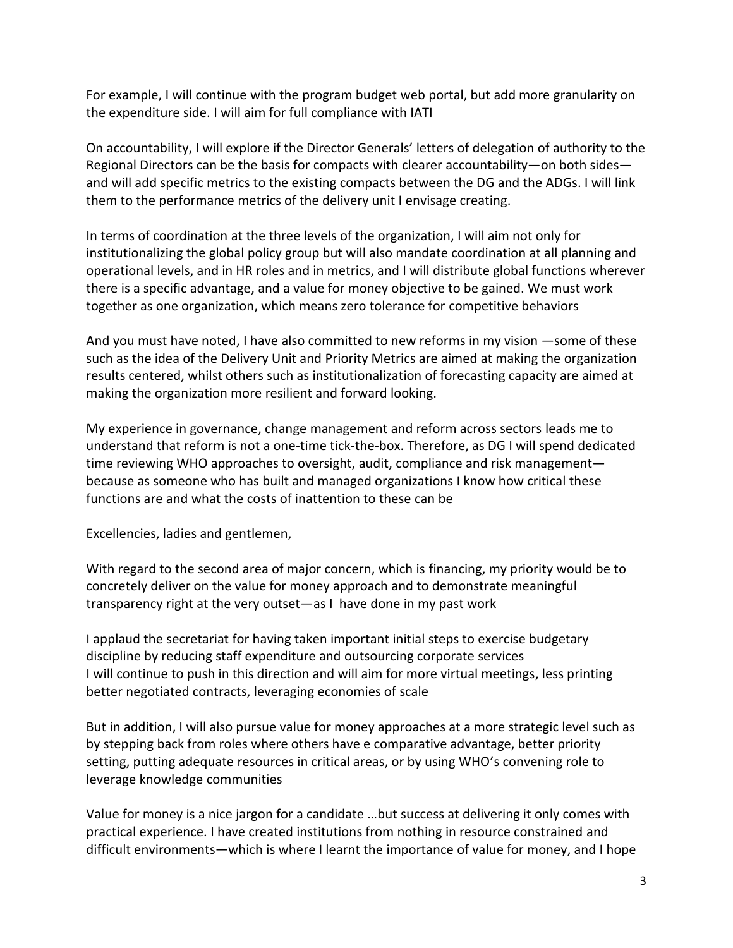For example, I will continue with the program budget web portal, but add more granularity on the expenditure side. I will aim for full compliance with IATI

On accountability, I will explore if the Director Generals' letters of delegation of authority to the Regional Directors can be the basis for compacts with clearer accountability—on both sides and will add specific metrics to the existing compacts between the DG and the ADGs. I will link them to the performance metrics of the delivery unit I envisage creating.

In terms of coordination at the three levels of the organization, I will aim not only for institutionalizing the global policy group but will also mandate coordination at all planning and operational levels, and in HR roles and in metrics, and I will distribute global functions wherever there is a specific advantage, and a value for money objective to be gained. We must work together as one organization, which means zero tolerance for competitive behaviors

And you must have noted, I have also committed to new reforms in my vision —some of these such as the idea of the Delivery Unit and Priority Metrics are aimed at making the organization results centered, whilst others such as institutionalization of forecasting capacity are aimed at making the organization more resilient and forward looking.

My experience in governance, change management and reform across sectors leads me to understand that reform is not a one-time tick-the-box. Therefore, as DG I will spend dedicated time reviewing WHO approaches to oversight, audit, compliance and risk management because as someone who has built and managed organizations I know how critical these functions are and what the costs of inattention to these can be

Excellencies, ladies and gentlemen,

With regard to the second area of major concern, which is financing, my priority would be to concretely deliver on the value for money approach and to demonstrate meaningful transparency right at the very outset—as I have done in my past work

I applaud the secretariat for having taken important initial steps to exercise budgetary discipline by reducing staff expenditure and outsourcing corporate services I will continue to push in this direction and will aim for more virtual meetings, less printing better negotiated contracts, leveraging economies of scale

But in addition, I will also pursue value for money approaches at a more strategic level such as by stepping back from roles where others have e comparative advantage, better priority setting, putting adequate resources in critical areas, or by using WHO's convening role to leverage knowledge communities

Value for money is a nice jargon for a candidate …but success at delivering it only comes with practical experience. I have created institutions from nothing in resource constrained and difficult environments—which is where I learnt the importance of value for money, and I hope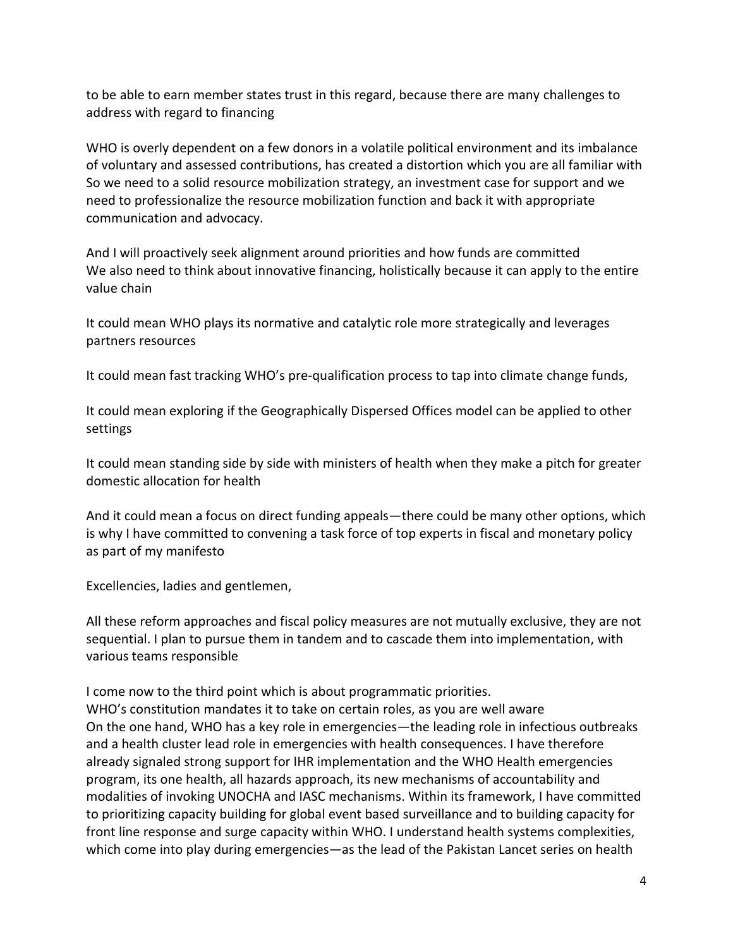to be able to earn member states trust in this regard, because there are many challenges to address with regard to financing

WHO is overly dependent on a few donors in a volatile political environment and its imbalance of voluntary and assessed contributions, has created a distortion which you are all familiar with So we need to a solid resource mobilization strategy, an investment case for support and we need to professionalize the resource mobilization function and back it with appropriate communication and advocacy.

And I will proactively seek alignment around priorities and how funds are committed We also need to think about innovative financing, holistically because it can apply to the entire value chain

It could mean WHO plays its normative and catalytic role more strategically and leverages partners resources

It could mean fast tracking WHO's pre-qualification process to tap into climate change funds,

It could mean exploring if the Geographically Dispersed Offices model can be applied to other settings

It could mean standing side by side with ministers of health when they make a pitch for greater domestic allocation for health

And it could mean a focus on direct funding appeals—there could be many other options, which is why I have committed to convening a task force of top experts in fiscal and monetary policy as part of my manifesto

Excellencies, ladies and gentlemen,

All these reform approaches and fiscal policy measures are not mutually exclusive, they are not sequential. I plan to pursue them in tandem and to cascade them into implementation, with various teams responsible

I come now to the third point which is about programmatic priorities. WHO's constitution mandates it to take on certain roles, as you are well aware On the one hand, WHO has a key role in emergencies—the leading role in infectious outbreaks and a health cluster lead role in emergencies with health consequences. I have therefore already signaled strong support for IHR implementation and the WHO Health emergencies program, its one health, all hazards approach, its new mechanisms of accountability and modalities of invoking UNOCHA and IASC mechanisms. Within its framework, I have committed to prioritizing capacity building for global event based surveillance and to building capacity for front line response and surge capacity within WHO. I understand health systems complexities, which come into play during emergencies—as the lead of the Pakistan Lancet series on health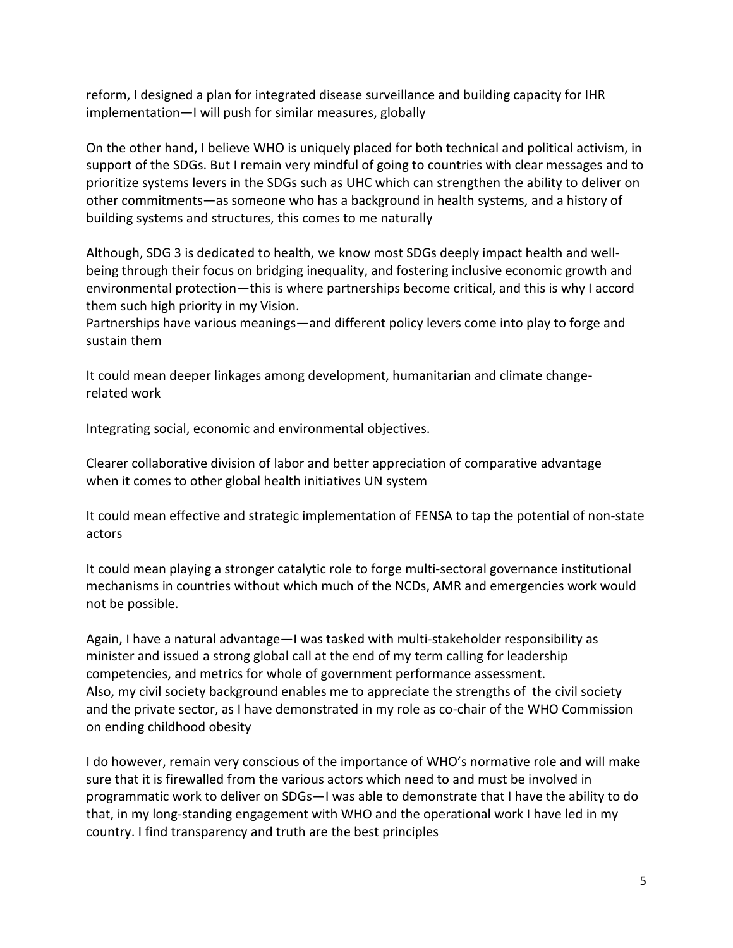reform, I designed a plan for integrated disease surveillance and building capacity for IHR implementation—I will push for similar measures, globally

On the other hand, I believe WHO is uniquely placed for both technical and political activism, in support of the SDGs. But I remain very mindful of going to countries with clear messages and to prioritize systems levers in the SDGs such as UHC which can strengthen the ability to deliver on other commitments—as someone who has a background in health systems, and a history of building systems and structures, this comes to me naturally

Although, SDG 3 is dedicated to health, we know most SDGs deeply impact health and wellbeing through their focus on bridging inequality, and fostering inclusive economic growth and environmental protection—this is where partnerships become critical, and this is why I accord them such high priority in my Vision.

Partnerships have various meanings—and different policy levers come into play to forge and sustain them

It could mean deeper linkages among development, humanitarian and climate changerelated work

Integrating social, economic and environmental objectives.

Clearer collaborative division of labor and better appreciation of comparative advantage when it comes to other global health initiatives UN system

It could mean effective and strategic implementation of FENSA to tap the potential of non-state actors

It could mean playing a stronger catalytic role to forge multi-sectoral governance institutional mechanisms in countries without which much of the NCDs, AMR and emergencies work would not be possible.

Again, I have a natural advantage—I was tasked with multi-stakeholder responsibility as minister and issued a strong global call at the end of my term calling for leadership competencies, and metrics for whole of government performance assessment. Also, my civil society background enables me to appreciate the strengths of the civil society and the private sector, as I have demonstrated in my role as co-chair of the WHO Commission on ending childhood obesity

I do however, remain very conscious of the importance of WHO's normative role and will make sure that it is firewalled from the various actors which need to and must be involved in programmatic work to deliver on SDGs—I was able to demonstrate that I have the ability to do that, in my long-standing engagement with WHO and the operational work I have led in my country. I find transparency and truth are the best principles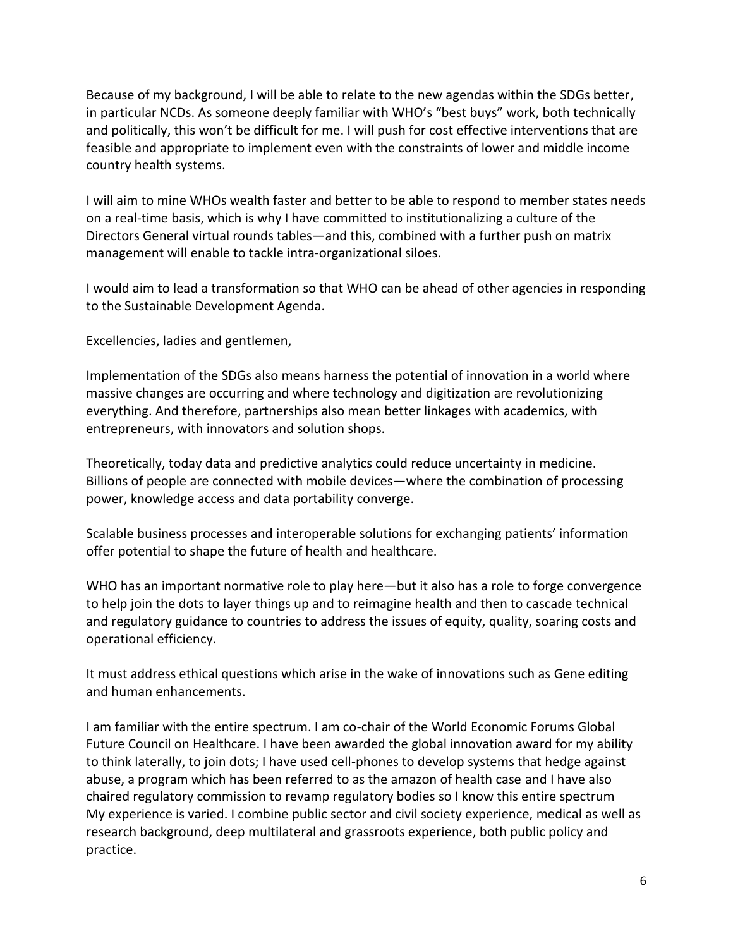Because of my background, I will be able to relate to the new agendas within the SDGs better, in particular NCDs. As someone deeply familiar with WHO's "best buys" work, both technically and politically, this won't be difficult for me. I will push for cost effective interventions that are feasible and appropriate to implement even with the constraints of lower and middle income country health systems.

I will aim to mine WHOs wealth faster and better to be able to respond to member states needs on a real-time basis, which is why I have committed to institutionalizing a culture of the Directors General virtual rounds tables—and this, combined with a further push on matrix management will enable to tackle intra-organizational siloes.

I would aim to lead a transformation so that WHO can be ahead of other agencies in responding to the Sustainable Development Agenda.

Excellencies, ladies and gentlemen,

Implementation of the SDGs also means harness the potential of innovation in a world where massive changes are occurring and where technology and digitization are revolutionizing everything. And therefore, partnerships also mean better linkages with academics, with entrepreneurs, with innovators and solution shops.

Theoretically, today data and predictive analytics could reduce uncertainty in medicine. Billions of people are connected with mobile devices—where the combination of processing power, knowledge access and data portability converge.

Scalable business processes and interoperable solutions for exchanging patients' information offer potential to shape the future of health and healthcare.

WHO has an important normative role to play here—but it also has a role to forge convergence to help join the dots to layer things up and to reimagine health and then to cascade technical and regulatory guidance to countries to address the issues of equity, quality, soaring costs and operational efficiency.

It must address ethical questions which arise in the wake of innovations such as Gene editing and human enhancements.

I am familiar with the entire spectrum. I am co-chair of the World Economic Forums Global Future Council on Healthcare. I have been awarded the global innovation award for my ability to think laterally, to join dots; I have used cell-phones to develop systems that hedge against abuse, a program which has been referred to as the amazon of health case and I have also chaired regulatory commission to revamp regulatory bodies so I know this entire spectrum My experience is varied. I combine public sector and civil society experience, medical as well as research background, deep multilateral and grassroots experience, both public policy and practice.